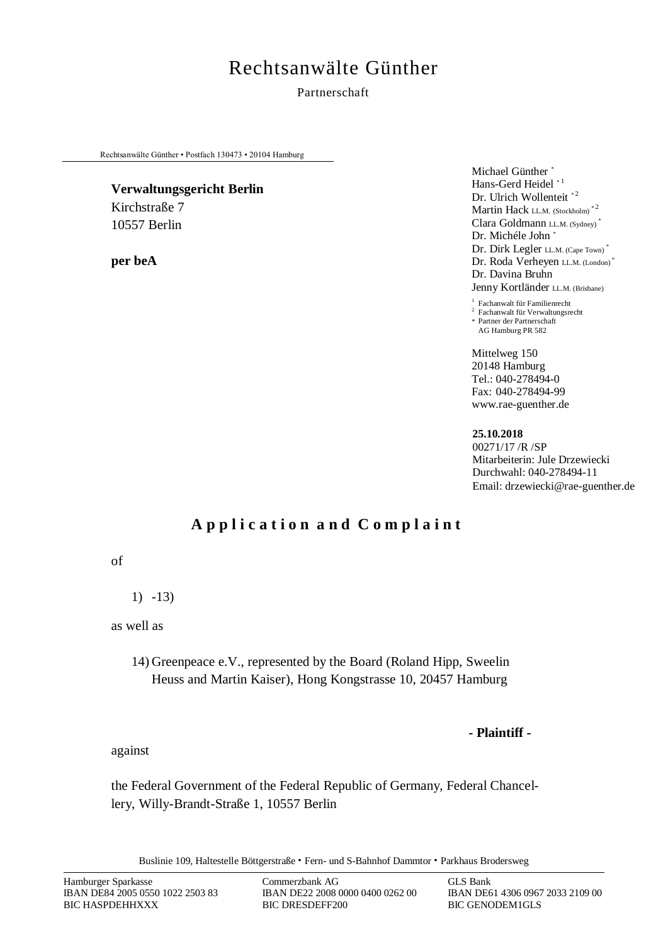# Rechtsanwälte Günther

### Partnerschaft

Rechtsanwälte Günther • Postfach 130473 • 20104 Hamburg

#### **Verwaltungsgericht Berlin**

Kirchstraße 7 10557 Berlin

**per beA** 

Michael Günther \* Hans-Gerd Heidel \*1 Dr. Ulrich Wollenteit<sup>\*2</sup> Martin Hack LL.M. (Stockholm)<sup>\*2</sup> Clara Goldmann LL.M. (Sydney) \* Dr. Michéle John \* Dr. Dirk Legler LL.M. (Cape Town) \* Dr. Roda Verheyen LL.M. (London) Dr. Davina Bruhn Jenny Kortländer LL.M. (Brisbane)

1 Fachanwalt für Familienrecht

2 Fachanwalt für Verwaltungsrecht \* Partner der Partnerschaft AG Hamburg PR 582

Mittelweg 150 20148 Hamburg Tel.: 040-278494-0 Fax: 040-278494-99 www.rae-guenther.de

**25.10.2018** 00271/17 /R /SP Mitarbeiterin: Jule Drzewiecki Durchwahl: 040-278494-11 Email: drzewiecki@rae-guenther.de

## **A p p l i c a t i o n a n d C o m p l a i n t**

of

1) -13)

as well as

14) Greenpeace e.V., represented by the Board (Roland Hipp, Sweelin Heuss and Martin Kaiser), Hong Kongstrasse 10, 20457 Hamburg

**- Plaintiff -** 

against

the Federal Government of the Federal Republic of Germany, Federal Chancellery, Willy-Brandt-Straße 1, 10557 Berlin

Buslinie 109, Haltestelle Böttgerstraße · Fern- und S-Bahnhof Dammtor · Parkhaus Brodersweg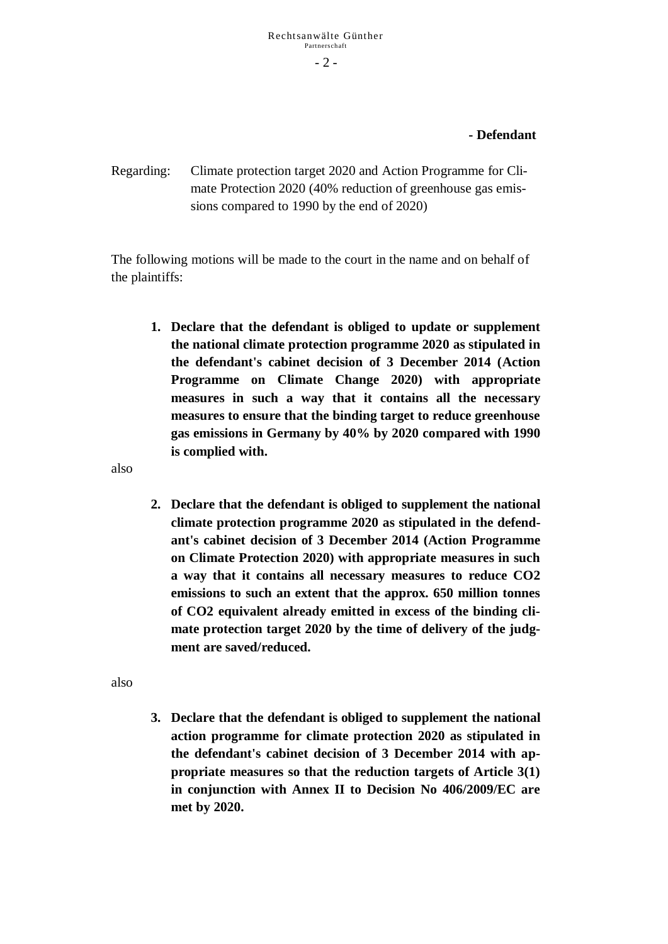### **- Defendant**

Regarding: Climate protection target 2020 and Action Programme for Climate Protection 2020 (40% reduction of greenhouse gas emissions compared to 1990 by the end of 2020)

The following motions will be made to the court in the name and on behalf of the plaintiffs:

**1. Declare that the defendant is obliged to update or supplement the national climate protection programme 2020 as stipulated in the defendant's cabinet decision of 3 December 2014 (Action Programme on Climate Change 2020) with appropriate measures in such a way that it contains all the necessary measures to ensure that the binding target to reduce greenhouse gas emissions in Germany by 40% by 2020 compared with 1990 is complied with.**

also

**2. Declare that the defendant is obliged to supplement the national climate protection programme 2020 as stipulated in the defendant's cabinet decision of 3 December 2014 (Action Programme on Climate Protection 2020) with appropriate measures in such a way that it contains all necessary measures to reduce CO2 emissions to such an extent that the approx. 650 million tonnes of CO2 equivalent already emitted in excess of the binding climate protection target 2020 by the time of delivery of the judgment are saved/reduced.**

also

**3. Declare that the defendant is obliged to supplement the national action programme for climate protection 2020 as stipulated in the defendant's cabinet decision of 3 December 2014 with appropriate measures so that the reduction targets of Article 3(1) in conjunction with Annex II to Decision No 406/2009/EC are met by 2020.**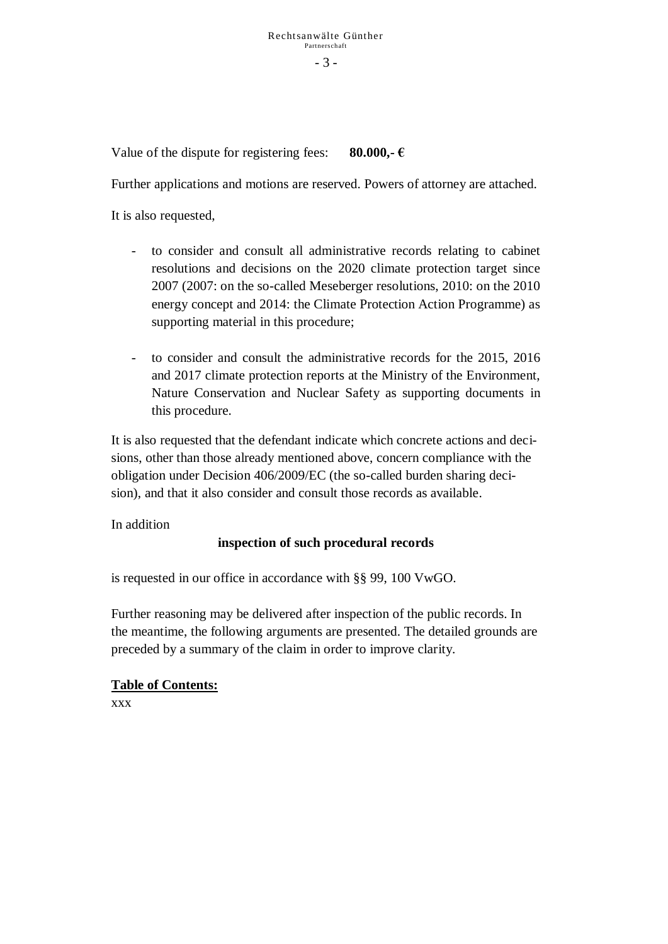Value of the dispute for registering fees: **80.000,**  $\epsilon$ 

Further applications and motions are reserved. Powers of attorney are attached.

It is also requested,

- to consider and consult all administrative records relating to cabinet resolutions and decisions on the 2020 climate protection target since 2007 (2007: on the so-called Meseberger resolutions, 2010: on the 2010 energy concept and 2014: the Climate Protection Action Programme) as supporting material in this procedure;
- to consider and consult the administrative records for the 2015, 2016 and 2017 climate protection reports at the Ministry of the Environment, Nature Conservation and Nuclear Safety as supporting documents in this procedure.

It is also requested that the defendant indicate which concrete actions and decisions, other than those already mentioned above, concern compliance with the obligation under Decision 406/2009/EC (the so-called burden sharing decision), and that it also consider and consult those records as available.

In addition

### **inspection of such procedural records**

is requested in our office in accordance with §§ 99, 100 VwGO.

Further reasoning may be delivered after inspection of the public records. In the meantime, the following arguments are presented. The detailed grounds are preceded by a summary of the claim in order to improve clarity.

### **Table of Contents:**

xxx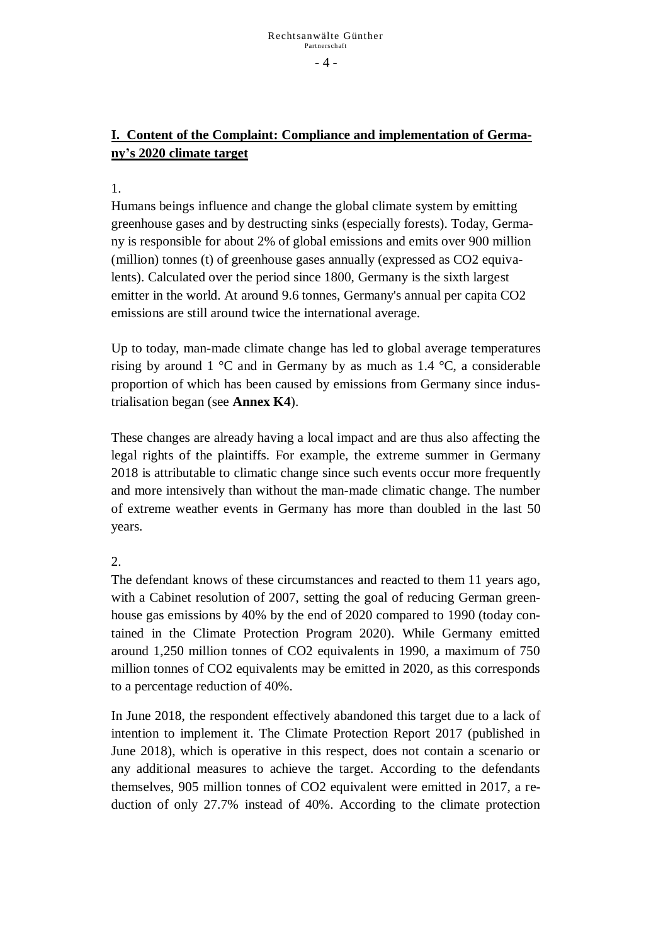### **I. Content of the Complaint: Compliance and implementation of Germany's 2020 climate target**

### 1.

Humans beings influence and change the global climate system by emitting greenhouse gases and by destructing sinks (especially forests). Today, Germany is responsible for about 2% of global emissions and emits over 900 million (million) tonnes (t) of greenhouse gases annually (expressed as CO2 equivalents). Calculated over the period since 1800, Germany is the sixth largest emitter in the world. At around 9.6 tonnes, Germany's annual per capita CO2 emissions are still around twice the international average.

Up to today, man-made climate change has led to global average temperatures rising by around 1  $\degree$ C and in Germany by as much as 1.4  $\degree$ C, a considerable proportion of which has been caused by emissions from Germany since industrialisation began (see **Annex K4**).

These changes are already having a local impact and are thus also affecting the legal rights of the plaintiffs. For example, the extreme summer in Germany 2018 is attributable to climatic change since such events occur more frequently and more intensively than without the man-made climatic change. The number of extreme weather events in Germany has more than doubled in the last 50 years.

### 2.

The defendant knows of these circumstances and reacted to them 11 years ago, with a Cabinet resolution of 2007, setting the goal of reducing German greenhouse gas emissions by 40% by the end of 2020 compared to 1990 (today contained in the Climate Protection Program 2020). While Germany emitted around 1,250 million tonnes of CO2 equivalents in 1990, a maximum of 750 million tonnes of CO2 equivalents may be emitted in 2020, as this corresponds to a percentage reduction of 40%.

In June 2018, the respondent effectively abandoned this target due to a lack of intention to implement it. The Climate Protection Report 2017 (published in June 2018), which is operative in this respect, does not contain a scenario or any additional measures to achieve the target. According to the defendants themselves, 905 million tonnes of CO2 equivalent were emitted in 2017, a reduction of only 27.7% instead of 40%. According to the climate protection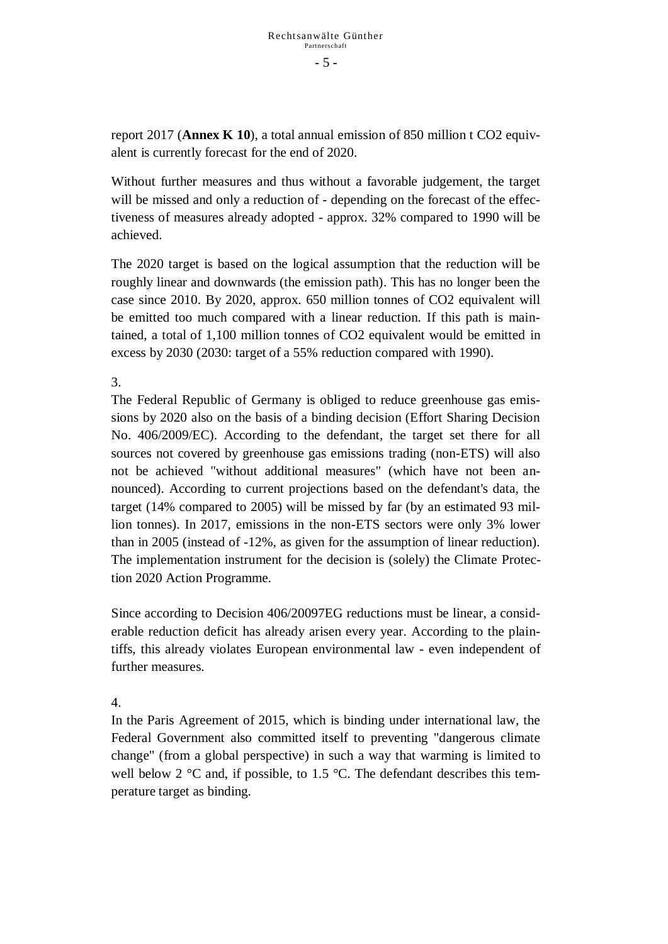report 2017 (**Annex K 10**), a total annual emission of 850 million t CO2 equivalent is currently forecast for the end of 2020.

Without further measures and thus without a favorable judgement, the target will be missed and only a reduction of - depending on the forecast of the effectiveness of measures already adopted - approx. 32% compared to 1990 will be achieved.

The 2020 target is based on the logical assumption that the reduction will be roughly linear and downwards (the emission path). This has no longer been the case since 2010. By 2020, approx. 650 million tonnes of CO2 equivalent will be emitted too much compared with a linear reduction. If this path is maintained, a total of 1,100 million tonnes of CO2 equivalent would be emitted in excess by 2030 (2030: target of a 55% reduction compared with 1990).

3.

The Federal Republic of Germany is obliged to reduce greenhouse gas emissions by 2020 also on the basis of a binding decision (Effort Sharing Decision No. 406/2009/EC). According to the defendant, the target set there for all sources not covered by greenhouse gas emissions trading (non-ETS) will also not be achieved "without additional measures" (which have not been announced). According to current projections based on the defendant's data, the target (14% compared to 2005) will be missed by far (by an estimated 93 million tonnes). In 2017, emissions in the non-ETS sectors were only 3% lower than in 2005 (instead of -12%, as given for the assumption of linear reduction). The implementation instrument for the decision is (solely) the Climate Protection 2020 Action Programme.

Since according to Decision 406/20097EG reductions must be linear, a considerable reduction deficit has already arisen every year. According to the plaintiffs, this already violates European environmental law - even independent of further measures.

4.

In the Paris Agreement of 2015, which is binding under international law, the Federal Government also committed itself to preventing "dangerous climate change" (from a global perspective) in such a way that warming is limited to well below 2  $\degree$ C and, if possible, to 1.5  $\degree$ C. The defendant describes this temperature target as binding.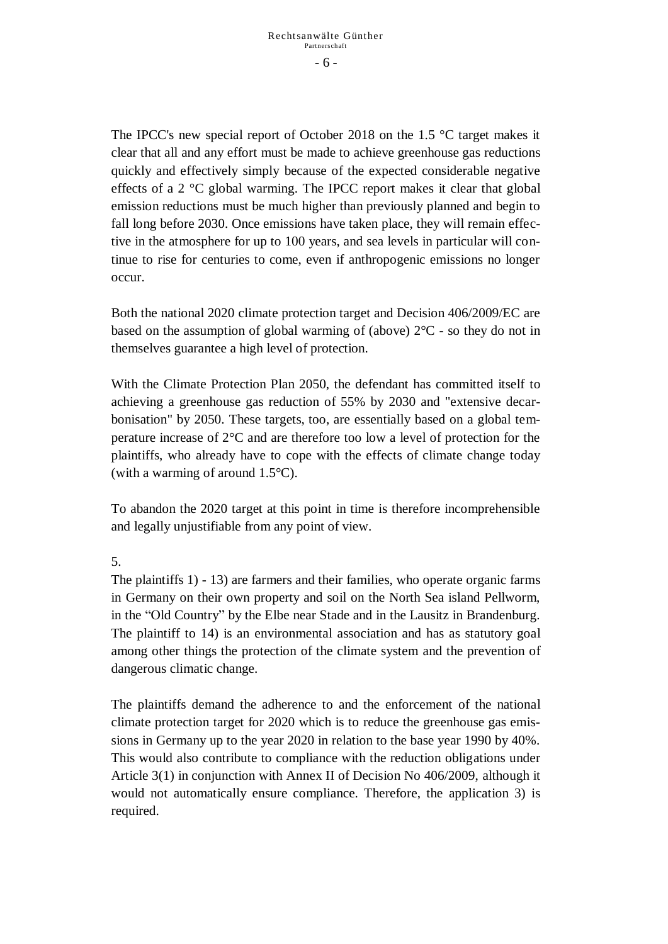- 6 -

The IPCC's new special report of October 2018 on the 1.5 °C target makes it clear that all and any effort must be made to achieve greenhouse gas reductions quickly and effectively simply because of the expected considerable negative effects of a 2 °C global warming. The IPCC report makes it clear that global emission reductions must be much higher than previously planned and begin to fall long before 2030. Once emissions have taken place, they will remain effective in the atmosphere for up to 100 years, and sea levels in particular will continue to rise for centuries to come, even if anthropogenic emissions no longer occur.

Both the national 2020 climate protection target and Decision 406/2009/EC are based on the assumption of global warming of (above)  $2^{\circ}$ C - so they do not in themselves guarantee a high level of protection.

With the Climate Protection Plan 2050, the defendant has committed itself to achieving a greenhouse gas reduction of 55% by 2030 and "extensive decarbonisation" by 2050. These targets, too, are essentially based on a global temperature increase of 2°C and are therefore too low a level of protection for the plaintiffs, who already have to cope with the effects of climate change today (with a warming of around 1.5°C).

To abandon the 2020 target at this point in time is therefore incomprehensible and legally unjustifiable from any point of view.

### 5.

The plaintiffs 1) - 13) are farmers and their families, who operate organic farms in Germany on their own property and soil on the North Sea island Pellworm, in the "Old Country" by the Elbe near Stade and in the Lausitz in Brandenburg. The plaintiff to 14) is an environmental association and has as statutory goal among other things the protection of the climate system and the prevention of dangerous climatic change.

The plaintiffs demand the adherence to and the enforcement of the national climate protection target for 2020 which is to reduce the greenhouse gas emissions in Germany up to the year 2020 in relation to the base year 1990 by 40%. This would also contribute to compliance with the reduction obligations under Article 3(1) in conjunction with Annex II of Decision No 406/2009, although it would not automatically ensure compliance. Therefore, the application 3) is required.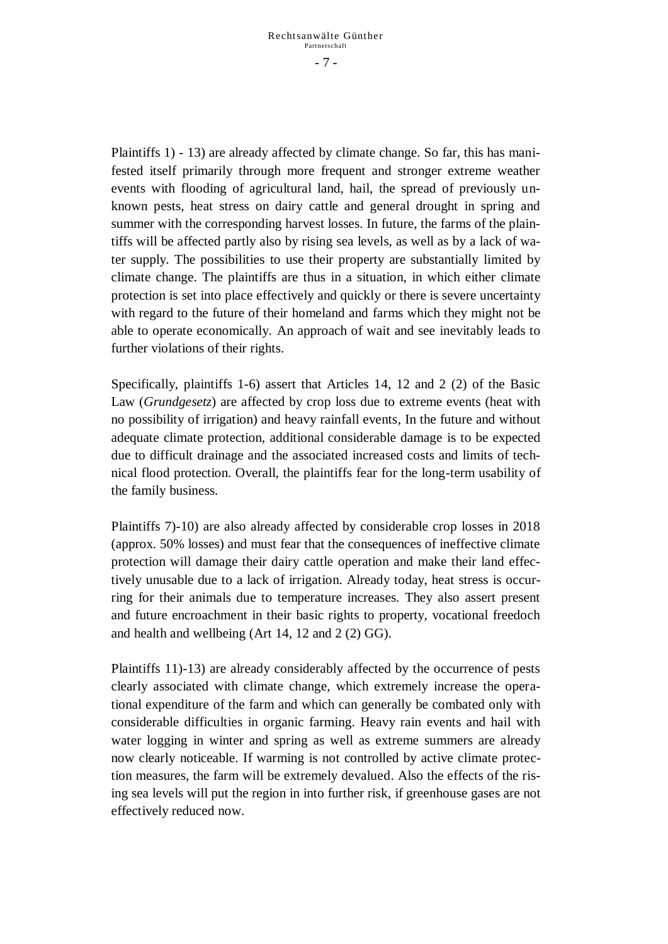Plaintiffs 1) - 13) are already affected by climate change. So far, this has manifested itself primarily through more frequent and stronger extreme weather events with flooding of agricultural land, hail, the spread of previously unknown pests, heat stress on dairy cattle and general drought in spring and summer with the corresponding harvest losses. In future, the farms of the plaintiffs will be affected partly also by rising sea levels, as well as by a lack of water supply. The possibilities to use their property are substantially limited by climate change. The plaintiffs are thus in a situation, in which either climate protection is set into place effectively and quickly or there is severe uncertainty with regard to the future of their homeland and farms which they might not be able to operate economically. An approach of wait and see inevitably leads to further violations of their rights.

Specifically, plaintiffs 1-6) assert that Articles 14, 12 and 2 (2) of the Basic Law (*Grundgesetz*) are affected by crop loss due to extreme events (heat with no possibility of irrigation) and heavy rainfall events, In the future and without adequate climate protection, additional considerable damage is to be expected due to difficult drainage and the associated increased costs and limits of technical flood protection. Overall, the plaintiffs fear for the long-term usability of the family business.

Plaintiffs 7)-10) are also already affected by considerable crop losses in 2018 (approx. 50% losses) and must fear that the consequences of ineffective climate protection will damage their dairy cattle operation and make their land effectively unusable due to a lack of irrigation. Already today, heat stress is occurring for their animals due to temperature increases. They also assert present and future encroachment in their basic rights to property, vocational freedoch and health and wellbeing (Art 14, 12 and 2 (2) GG).

Plaintiffs 11)-13) are already considerably affected by the occurrence of pests clearly associated with climate change, which extremely increase the operational expenditure of the farm and which can generally be combated only with considerable difficulties in organic farming. Heavy rain events and hail with water logging in winter and spring as well as extreme summers are already now clearly noticeable. If warming is not controlled by active climate protection measures, the farm will be extremely devalued. Also the effects of the rising sea levels will put the region in into further risk, if greenhouse gases are not effectively reduced now.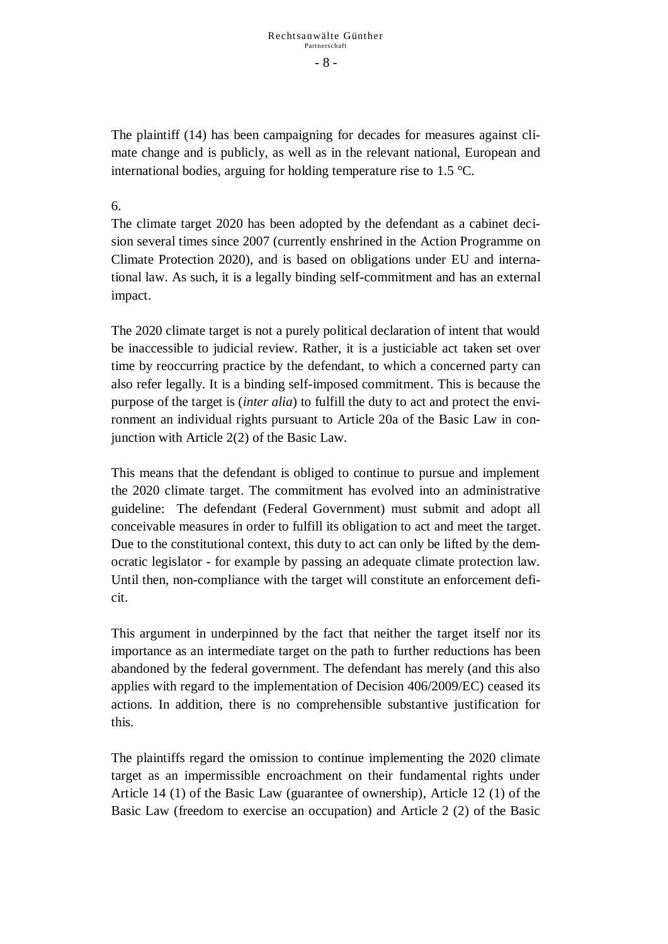- 8 -

The plaintiff (14) has been campaigning for decades for measures against climate change and is publicly, as well as in the relevant national, European and international bodies, arguing for holding temperature rise to 1.5 °C.

### 6.

The climate target 2020 has been adopted by the defendant as a cabinet decision several times since 2007 (currently enshrined in the Action Programme on Climate Protection 2020), and is based on obligations under EU and international law. As such, it is a legally binding self-commitment and has an external impact.

The 2020 climate target is not a purely political declaration of intent that would be inaccessible to judicial review. Rather, it is a justiciable act taken set over time by reoccurring practice by the defendant, to which a concerned party can also refer legally. It is a binding self-imposed commitment. This is because the purpose of the target is (*inter alia*) to fulfill the duty to act and protect the environment an individual rights pursuant to Article 20a of the Basic Law in conjunction with Article 2(2) of the Basic Law.

This means that the defendant is obliged to continue to pursue and implement the 2020 climate target. The commitment has evolved into an administrative guideline: The defendant (Federal Government) must submit and adopt all conceivable measures in order to fulfill its obligation to act and meet the target. Due to the constitutional context, this duty to act can only be lifted by the democratic legislator - for example by passing an adequate climate protection law. Until then, non-compliance with the target will constitute an enforcement deficit.

This argument in underpinned by the fact that neither the target itself nor its importance as an intermediate target on the path to further reductions has been abandoned by the federal government. The defendant has merely (and this also applies with regard to the implementation of Decision 406/2009/EC) ceased its actions. In addition, there is no comprehensible substantive justification for this.

The plaintiffs regard the omission to continue implementing the 2020 climate target as an impermissible encroachment on their fundamental rights under Article 14 (1) of the Basic Law (guarantee of ownership), Article 12 (1) of the Basic Law (freedom to exercise an occupation) and Article 2 (2) of the Basic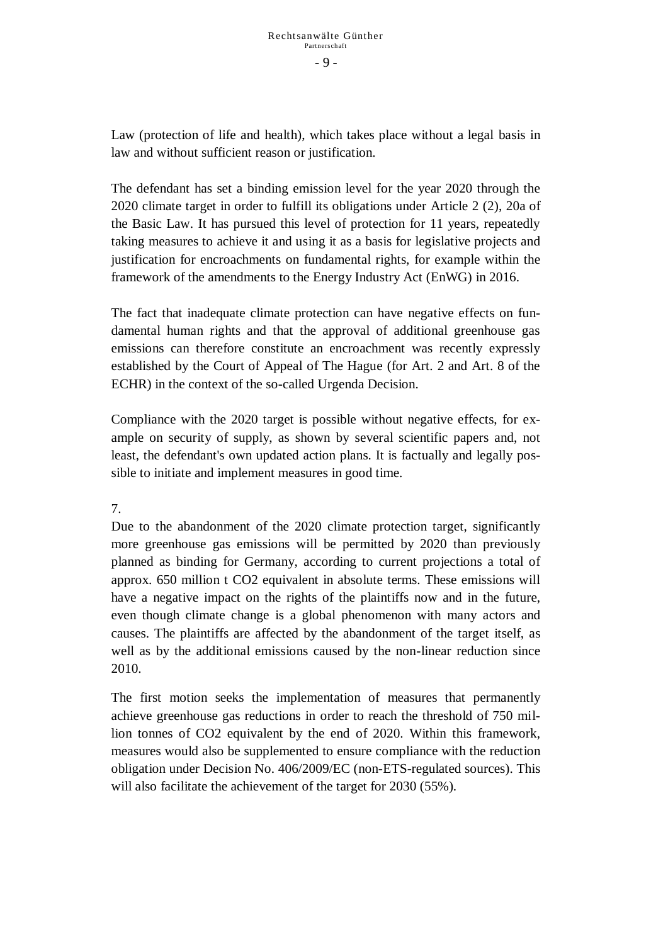Law (protection of life and health), which takes place without a legal basis in law and without sufficient reason or justification.

The defendant has set a binding emission level for the year 2020 through the 2020 climate target in order to fulfill its obligations under Article 2 (2), 20a of the Basic Law. It has pursued this level of protection for 11 years, repeatedly taking measures to achieve it and using it as a basis for legislative projects and justification for encroachments on fundamental rights, for example within the framework of the amendments to the Energy Industry Act (EnWG) in 2016.

The fact that inadequate climate protection can have negative effects on fundamental human rights and that the approval of additional greenhouse gas emissions can therefore constitute an encroachment was recently expressly established by the Court of Appeal of The Hague (for Art. 2 and Art. 8 of the ECHR) in the context of the so-called Urgenda Decision.

Compliance with the 2020 target is possible without negative effects, for example on security of supply, as shown by several scientific papers and, not least, the defendant's own updated action plans. It is factually and legally possible to initiate and implement measures in good time.

### 7.

Due to the abandonment of the 2020 climate protection target, significantly more greenhouse gas emissions will be permitted by 2020 than previously planned as binding for Germany, according to current projections a total of approx. 650 million t CO2 equivalent in absolute terms. These emissions will have a negative impact on the rights of the plaintiffs now and in the future, even though climate change is a global phenomenon with many actors and causes. The plaintiffs are affected by the abandonment of the target itself, as well as by the additional emissions caused by the non-linear reduction since 2010.

The first motion seeks the implementation of measures that permanently achieve greenhouse gas reductions in order to reach the threshold of 750 million tonnes of CO2 equivalent by the end of 2020. Within this framework, measures would also be supplemented to ensure compliance with the reduction obligation under Decision No. 406/2009/EC (non-ETS-regulated sources). This will also facilitate the achievement of the target for 2030 (55%).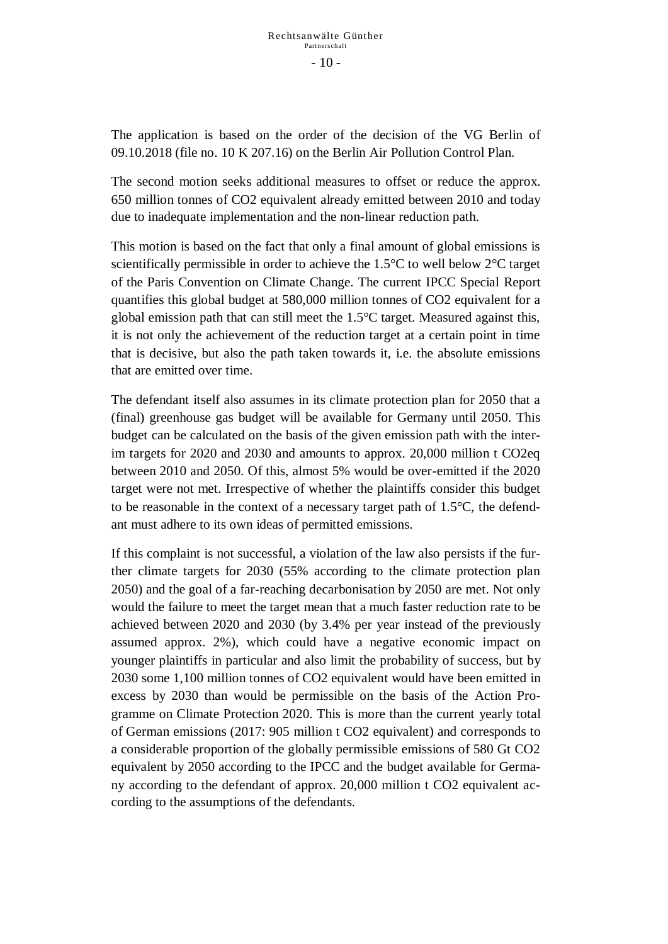The application is based on the order of the decision of the VG Berlin of 09.10.2018 (file no. 10 K 207.16) on the Berlin Air Pollution Control Plan.

The second motion seeks additional measures to offset or reduce the approx. 650 million tonnes of CO2 equivalent already emitted between 2010 and today due to inadequate implementation and the non-linear reduction path.

This motion is based on the fact that only a final amount of global emissions is scientifically permissible in order to achieve the 1.5°C to well below 2°C target of the Paris Convention on Climate Change. The current IPCC Special Report quantifies this global budget at 580,000 million tonnes of CO2 equivalent for a global emission path that can still meet the 1.5°C target. Measured against this, it is not only the achievement of the reduction target at a certain point in time that is decisive, but also the path taken towards it, i.e. the absolute emissions that are emitted over time.

The defendant itself also assumes in its climate protection plan for 2050 that a (final) greenhouse gas budget will be available for Germany until 2050. This budget can be calculated on the basis of the given emission path with the interim targets for 2020 and 2030 and amounts to approx. 20,000 million t CO2eq between 2010 and 2050. Of this, almost 5% would be over-emitted if the 2020 target were not met. Irrespective of whether the plaintiffs consider this budget to be reasonable in the context of a necessary target path of 1.5°C, the defendant must adhere to its own ideas of permitted emissions.

If this complaint is not successful, a violation of the law also persists if the further climate targets for 2030 (55% according to the climate protection plan 2050) and the goal of a far-reaching decarbonisation by 2050 are met. Not only would the failure to meet the target mean that a much faster reduction rate to be achieved between 2020 and 2030 (by 3.4% per year instead of the previously assumed approx. 2%), which could have a negative economic impact on younger plaintiffs in particular and also limit the probability of success, but by 2030 some 1,100 million tonnes of CO2 equivalent would have been emitted in excess by 2030 than would be permissible on the basis of the Action Programme on Climate Protection 2020. This is more than the current yearly total of German emissions (2017: 905 million t CO2 equivalent) and corresponds to a considerable proportion of the globally permissible emissions of 580 Gt CO2 equivalent by 2050 according to the IPCC and the budget available for Germany according to the defendant of approx. 20,000 million t CO2 equivalent according to the assumptions of the defendants.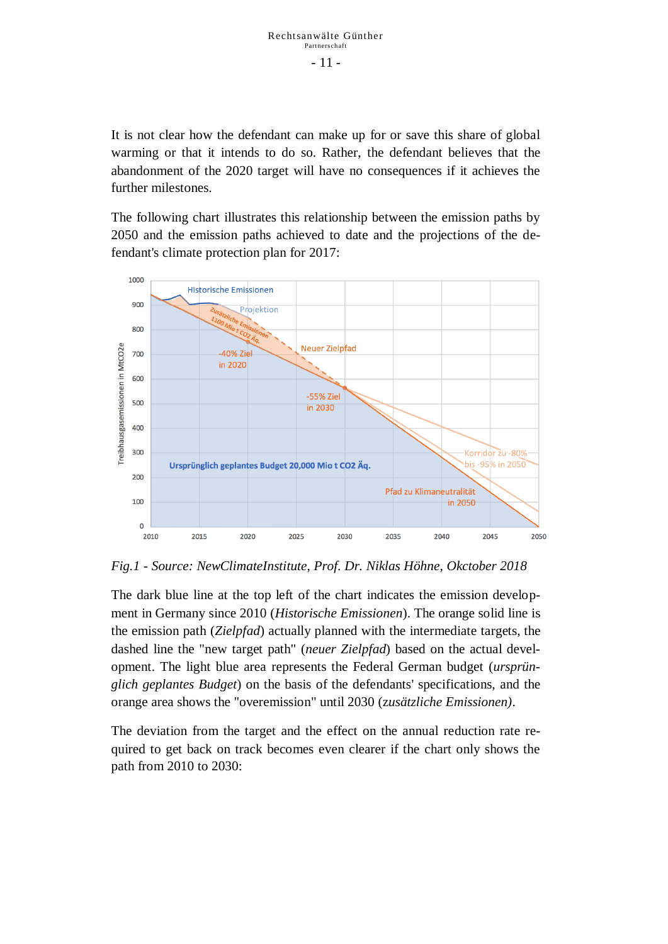It is not clear how the defendant can make up for or save this share of global warming or that it intends to do so. Rather, the defendant believes that the abandonment of the 2020 target will have no consequences if it achieves the further milestones.

The following chart illustrates this relationship between the emission paths by 2050 and the emission paths achieved to date and the projections of the defendant's climate protection plan for 2017:



*Fig.1 - Source: NewClimateInstitute, Prof. Dr. Niklas Höhne, Okctober 2018*

The dark blue line at the top left of the chart indicates the emission development in Germany since 2010 (*Historische Emissionen*). The orange solid line is the emission path (*Zielpfad*) actually planned with the intermediate targets, the dashed line the "new target path" (*neuer Zielpfad*) based on the actual development. The light blue area represents the Federal German budget (*ursprünglich geplantes Budget*) on the basis of the defendants' specifications, and the orange area shows the "overemission" until 2030 (z*usätzliche Emissionen)*.

The deviation from the target and the effect on the annual reduction rate required to get back on track becomes even clearer if the chart only shows the path from 2010 to 2030: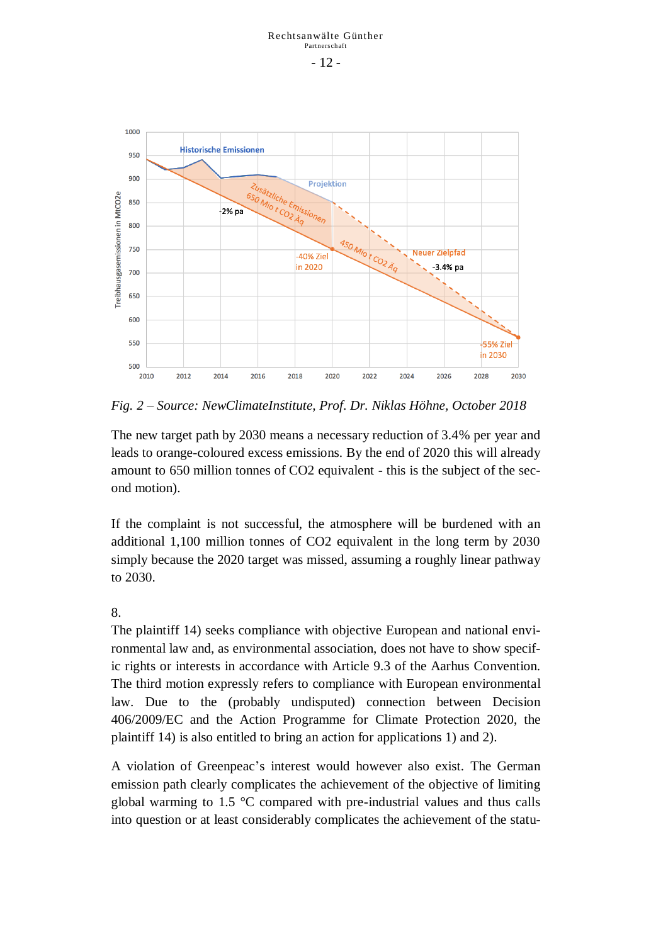- 12 -



*Fig. 2 – Source: NewClimateInstitute, Prof. Dr. Niklas Höhne, October 2018*

The new target path by 2030 means a necessary reduction of 3.4% per year and leads to orange-coloured excess emissions. By the end of 2020 this will already amount to 650 million tonnes of CO2 equivalent - this is the subject of the second motion).

If the complaint is not successful, the atmosphere will be burdened with an additional 1,100 million tonnes of CO2 equivalent in the long term by 2030 simply because the 2020 target was missed, assuming a roughly linear pathway to 2030.

8.

The plaintiff 14) seeks compliance with objective European and national environmental law and, as environmental association, does not have to show specific rights or interests in accordance with Article 9.3 of the Aarhus Convention. The third motion expressly refers to compliance with European environmental law. Due to the (probably undisputed) connection between Decision 406/2009/EC and the Action Programme for Climate Protection 2020, the plaintiff 14) is also entitled to bring an action for applications 1) and 2).

A violation of Greenpeac's interest would however also exist. The German emission path clearly complicates the achievement of the objective of limiting global warming to 1.5 °C compared with pre-industrial values and thus calls into question or at least considerably complicates the achievement of the statu